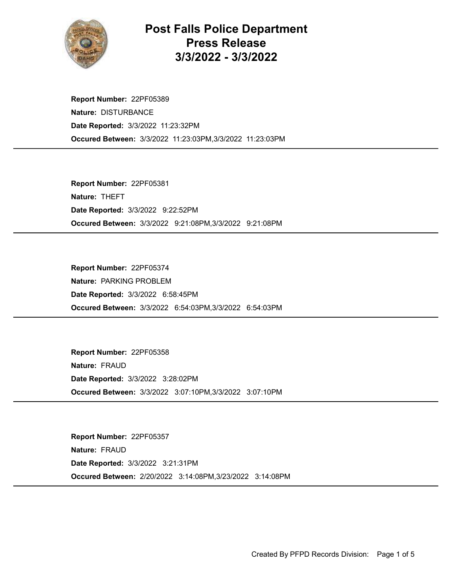

## Post Falls Police Department Press Release 3/3/2022 - 3/3/2022

Occured Between: 3/3/2022 11:23:03PM,3/3/2022 11:23:03PM Report Number: 22PF05389 Nature: DISTURBANCE Date Reported: 3/3/2022 11:23:32PM

Occured Between: 3/3/2022 9:21:08PM,3/3/2022 9:21:08PM Report Number: 22PF05381 Nature: THEFT Date Reported: 3/3/2022 9:22:52PM

Occured Between: 3/3/2022 6:54:03PM,3/3/2022 6:54:03PM Report Number: 22PF05374 Nature: PARKING PROBLEM Date Reported: 3/3/2022 6:58:45PM

Occured Between: 3/3/2022 3:07:10PM,3/3/2022 3:07:10PM Report Number: 22PF05358 Nature: FRAUD Date Reported: 3/3/2022 3:28:02PM

Occured Between: 2/20/2022 3:14:08PM,3/23/2022 3:14:08PM Report Number: 22PF05357 Nature: FRAUD Date Reported: 3/3/2022 3:21:31PM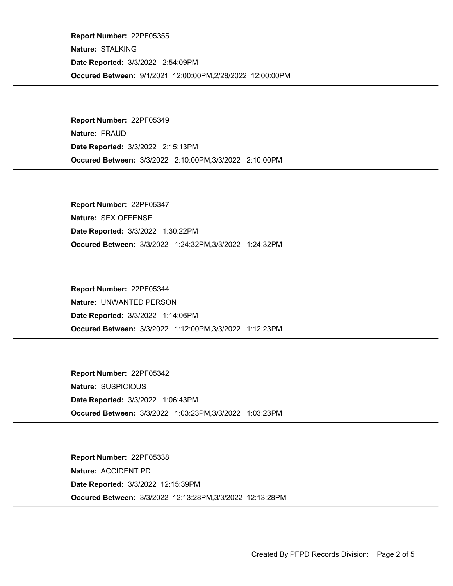Occured Between: 9/1/2021 12:00:00PM,2/28/2022 12:00:00PM Report Number: 22PF05355 Nature: STALKING Date Reported: 3/3/2022 2:54:09PM

Occured Between: 3/3/2022 2:10:00PM,3/3/2022 2:10:00PM Report Number: 22PF05349 Nature: FRAUD Date Reported: 3/3/2022 2:15:13PM

Occured Between: 3/3/2022 1:24:32PM,3/3/2022 1:24:32PM Report Number: 22PF05347 Nature: SEX OFFENSE Date Reported: 3/3/2022 1:30:22PM

Occured Between: 3/3/2022 1:12:00PM,3/3/2022 1:12:23PM Report Number: 22PF05344 Nature: UNWANTED PERSON Date Reported: 3/3/2022 1:14:06PM

Occured Between: 3/3/2022 1:03:23PM,3/3/2022 1:03:23PM Report Number: 22PF05342 Nature: SUSPICIOUS Date Reported: 3/3/2022 1:06:43PM

Occured Between: 3/3/2022 12:13:28PM,3/3/2022 12:13:28PM Report Number: 22PF05338 Nature: ACCIDENT PD Date Reported: 3/3/2022 12:15:39PM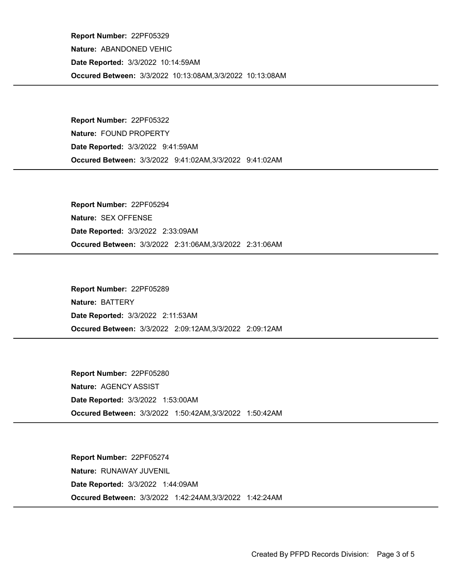Occured Between: 3/3/2022 10:13:08AM,3/3/2022 10:13:08AM Report Number: 22PF05329 Nature: ABANDONED VEHIC Date Reported: 3/3/2022 10:14:59AM

Occured Between: 3/3/2022 9:41:02AM,3/3/2022 9:41:02AM Report Number: 22PF05322 Nature: FOUND PROPERTY Date Reported: 3/3/2022 9:41:59AM

Occured Between: 3/3/2022 2:31:06AM,3/3/2022 2:31:06AM Report Number: 22PF05294 Nature: SEX OFFENSE Date Reported: 3/3/2022 2:33:09AM

Occured Between: 3/3/2022 2:09:12AM,3/3/2022 2:09:12AM Report Number: 22PF05289 Nature: BATTERY Date Reported: 3/3/2022 2:11:53AM

Occured Between: 3/3/2022 1:50:42AM,3/3/2022 1:50:42AM Report Number: 22PF05280 Nature: AGENCY ASSIST Date Reported: 3/3/2022 1:53:00AM

Occured Between: 3/3/2022 1:42:24AM,3/3/2022 1:42:24AM Report Number: 22PF05274 Nature: RUNAWAY JUVENIL Date Reported: 3/3/2022 1:44:09AM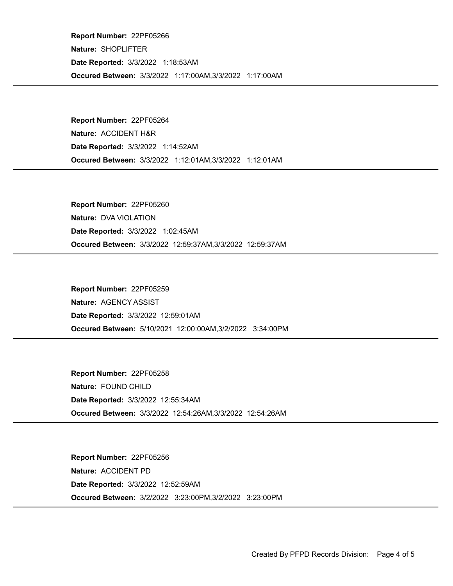Occured Between: 3/3/2022 1:17:00AM,3/3/2022 1:17:00AM Report Number: 22PF05266 Nature: SHOPLIFTER Date Reported: 3/3/2022 1:18:53AM

Occured Between: 3/3/2022 1:12:01AM,3/3/2022 1:12:01AM Report Number: 22PF05264 Nature: ACCIDENT H&R Date Reported: 3/3/2022 1:14:52AM

Occured Between: 3/3/2022 12:59:37AM,3/3/2022 12:59:37AM Report Number: 22PF05260 Nature: DVA VIOLATION Date Reported: 3/3/2022 1:02:45AM

Occured Between: 5/10/2021 12:00:00AM,3/2/2022 3:34:00PM Report Number: 22PF05259 Nature: AGENCY ASSIST Date Reported: 3/3/2022 12:59:01AM

Occured Between: 3/3/2022 12:54:26AM,3/3/2022 12:54:26AM Report Number: 22PF05258 Nature: FOUND CHILD Date Reported: 3/3/2022 12:55:34AM

Occured Between: 3/2/2022 3:23:00PM,3/2/2022 3:23:00PM Report Number: 22PF05256 Nature: ACCIDENT PD Date Reported: 3/3/2022 12:52:59AM